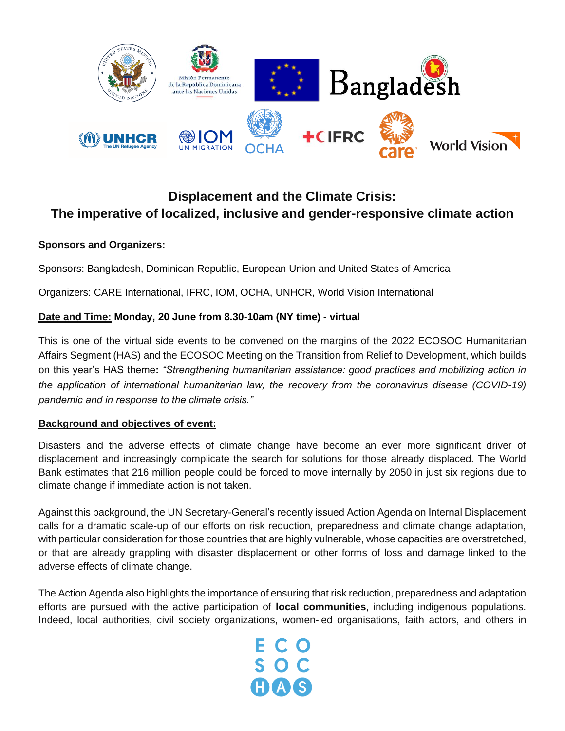

# **Displacement and the Climate Crisis: The imperative of localized, inclusive and gender-responsive climate action**

### **Sponsors and Organizers:**

Sponsors: Bangladesh, Dominican Republic, European Union and United States of America

Organizers: CARE International, IFRC, IOM, OCHA, UNHCR, World Vision International

#### **Date and Time: Monday, 20 June from 8.30-10am (NY time) - virtual**

This is one of the virtual side events to be convened on the margins of the 2022 ECOSOC Humanitarian Affairs Segment (HAS) and the ECOSOC Meeting on the Transition from Relief to Development, which builds on this year's HAS theme**:** *"Strengthening humanitarian assistance: good practices and mobilizing action in the application of international humanitarian law, the recovery from the coronavirus disease (COVID-19) pandemic and in response to the climate crisis."*

#### **Background and objectives of event:**

Disasters and the adverse effects of climate change have become an ever more significant driver of displacement and increasingly complicate the search for solutions for those already displaced. The World Bank estimates that 216 million people could be forced to move internally by 2050 in just six regions due to climate change if immediate action is not taken.

Against this background, the UN Secretary-General's recently issued Action Agenda on Internal Displacement calls for a dramatic scale-up of our efforts on risk reduction, preparedness and climate change adaptation, with particular consideration for those countries that are highly vulnerable, whose capacities are overstretched, or that are already grappling with disaster displacement or other forms of loss and damage linked to the adverse effects of climate change.

The Action Agenda also highlights the importance of ensuring that risk reduction, preparedness and adaptation efforts are pursued with the active participation of **local communities**, including indigenous populations. Indeed, local authorities, civil society organizations, women-led organisations, faith actors, and others in

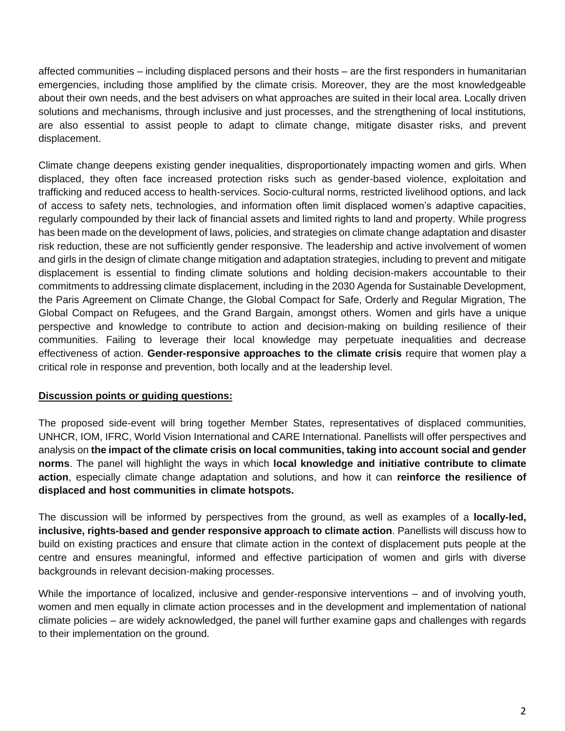affected communities – including displaced persons and their hosts – are the first responders in humanitarian emergencies, including those amplified by the climate crisis. Moreover, they are the most knowledgeable about their own needs, and the best advisers on what approaches are suited in their local area. Locally driven solutions and mechanisms, through inclusive and just processes, and the strengthening of local institutions, are also essential to assist people to adapt to climate change, mitigate disaster risks, and prevent displacement.

Climate change deepens existing gender inequalities, disproportionately impacting women and girls. When displaced, they often face increased protection risks such as gender-based violence, exploitation and trafficking and reduced access to health-services. Socio-cultural norms, restricted livelihood options, and lack of access to safety nets, technologies, and information often limit displaced women's adaptive capacities, regularly compounded by their lack of financial assets and limited rights to land and property. While progress has been made on the development of laws, policies, and strategies on climate change adaptation and disaster risk reduction, these are not sufficiently gender responsive. The leadership and active involvement of women and girls in the design of climate change mitigation and adaptation strategies, including to prevent and mitigate displacement is essential to finding climate solutions and holding decision-makers accountable to their commitments to addressing climate displacement, including in the 2030 Agenda for Sustainable Development, the Paris Agreement on Climate Change, the Global Compact for Safe, Orderly and Regular Migration, The Global Compact on Refugees, and the Grand Bargain, amongst others. Women and girls have a unique perspective and knowledge to contribute to action and decision-making on building resilience of their communities. Failing to leverage their local knowledge may perpetuate inequalities and decrease effectiveness of action. **Gender-responsive approaches to the climate crisis** require that women play a critical role in response and prevention, both locally and at the leadership level.

### **Discussion points or guiding questions:**

The proposed side-event will bring together Member States, representatives of displaced communities, UNHCR, IOM, IFRC, World Vision International and CARE International. Panellists will offer perspectives and analysis on **the impact of the climate crisis on local communities, taking into account social and gender norms**. The panel will highlight the ways in which **local knowledge and initiative contribute to climate action**, especially climate change adaptation and solutions, and how it can **reinforce the resilience of displaced and host communities in climate hotspots.**

The discussion will be informed by perspectives from the ground, as well as examples of a **locally-led, inclusive, rights-based and gender responsive approach to climate action**. Panellists will discuss how to build on existing practices and ensure that climate action in the context of displacement puts people at the centre and ensures meaningful, informed and effective participation of women and girls with diverse backgrounds in relevant decision-making processes.

While the importance of localized, inclusive and gender-responsive interventions – and of involving youth, women and men equally in climate action processes and in the development and implementation of national climate policies – are widely acknowledged, the panel will further examine gaps and challenges with regards to their implementation on the ground.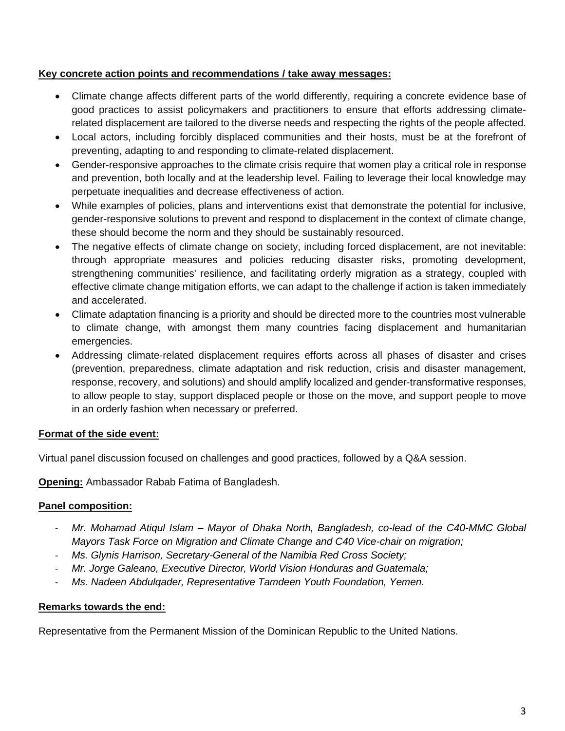#### **Key concrete action points and recommendations / take away messages:**

- Climate change affects different parts of the world differently, requiring a concrete evidence base of good practices to assist policymakers and practitioners to ensure that efforts addressing climaterelated displacement are tailored to the diverse needs and respecting the rights of the people affected.
- Local actors, including forcibly displaced communities and their hosts, must be at the forefront of preventing, adapting to and responding to climate-related displacement.
- Gender-responsive approaches to the climate crisis require that women play a critical role in response and prevention, both locally and at the leadership level. Failing to leverage their local knowledge may perpetuate inequalities and decrease effectiveness of action.
- While examples of policies, plans and interventions exist that demonstrate the potential for inclusive, gender-responsive solutions to prevent and respond to displacement in the context of climate change, these should become the norm and they should be sustainably resourced.
- The negative effects of climate change on society, including forced displacement, are not inevitable: through appropriate measures and policies reducing disaster risks, promoting development, strengthening communities' resilience, and facilitating orderly migration as a strategy, coupled with effective climate change mitigation efforts, we can adapt to the challenge if action is taken immediately and accelerated.
- Climate adaptation financing is a priority and should be directed more to the countries most vulnerable to climate change, with amongst them many countries facing displacement and humanitarian emergencies.
- Addressing climate-related displacement requires efforts across all phases of disaster and crises (prevention, preparedness, climate adaptation and risk reduction, crisis and disaster management, response, recovery, and solutions) and should amplify localized and gender-transformative responses, to allow people to stay, support displaced people or those on the move, and support people to move in an orderly fashion when necessary or preferred.

### **Format of the side event:**

Virtual panel discussion focused on challenges and good practices, followed by a Q&A session.

**Opening:** Ambassador Rabab Fatima of Bangladesh.

### **Panel composition:**

- *Mr. Mohamad Atiqul Islam – Mayor of Dhaka North, Bangladesh, co-lead of the C40-MMC Global Mayors Task Force on Migration and Climate Change and C40 Vice-chair on migration;*
- *Ms. Glynis Harrison, Secretary-General of the Namibia Red Cross Society;*
- *Mr. Jorge Galeano, Executive Director, World Vision Honduras and Guatemala;*
- *Ms. Nadeen Abdulqader, Representative Tamdeen Youth Foundation, Yemen.*

### **Remarks towards the end:**

Representative from the Permanent Mission of the Dominican Republic to the United Nations.